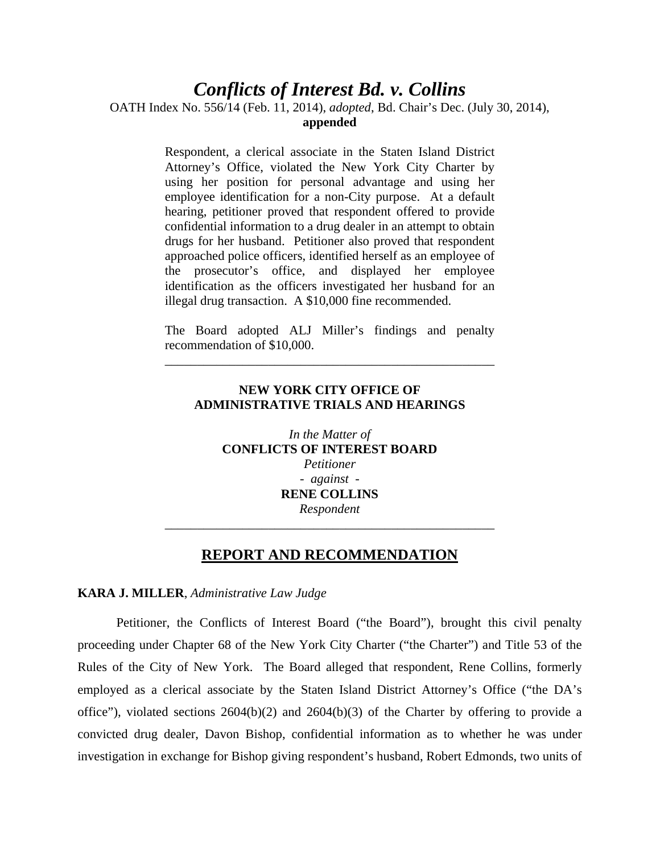# *Conflicts of Interest Bd. v. Collins*

OATH Index No. 556/14 (Feb. 11, 2014), *adopted*, Bd. Chair's Dec. (July 30, 2014),

## **appended**

Respondent, a clerical associate in the Staten Island District Attorney's Office, violated the New York City Charter by using her position for personal advantage and using her employee identification for a non-City purpose. At a default hearing, petitioner proved that respondent offered to provide confidential information to a drug dealer in an attempt to obtain drugs for her husband. Petitioner also proved that respondent approached police officers, identified herself as an employee of the prosecutor's office, and displayed her employee identification as the officers investigated her husband for an illegal drug transaction. A \$10,000 fine recommended.

The Board adopted ALJ Miller's findings and penalty recommendation of \$10,000.

\_\_\_\_\_\_\_\_\_\_\_\_\_\_\_\_\_\_\_\_\_\_\_\_\_\_\_\_\_\_\_\_\_\_\_\_\_\_\_\_\_\_\_\_\_\_\_\_\_\_\_

# **NEW YORK CITY OFFICE OF ADMINISTRATIVE TRIALS AND HEARINGS**

*In the Matter of* **CONFLICTS OF INTEREST BOARD** *Petitioner - against -* **RENE COLLINS**  *Respondent*  \_\_\_\_\_\_\_\_\_\_\_\_\_\_\_\_\_\_\_\_\_\_\_\_\_\_\_\_\_\_\_\_\_\_\_\_\_\_\_\_\_\_\_\_\_\_\_\_\_\_\_

# **REPORT AND RECOMMENDATION**

## **KARA J. MILLER**, *Administrative Law Judge*

 Petitioner, the Conflicts of Interest Board ("the Board"), brought this civil penalty proceeding under Chapter 68 of the New York City Charter ("the Charter") and Title 53 of the Rules of the City of New York. The Board alleged that respondent, Rene Collins, formerly employed as a clerical associate by the Staten Island District Attorney's Office ("the DA's office"), violated sections  $2604(b)(2)$  and  $2604(b)(3)$  of the Charter by offering to provide a convicted drug dealer, Davon Bishop, confidential information as to whether he was under investigation in exchange for Bishop giving respondent's husband, Robert Edmonds, two units of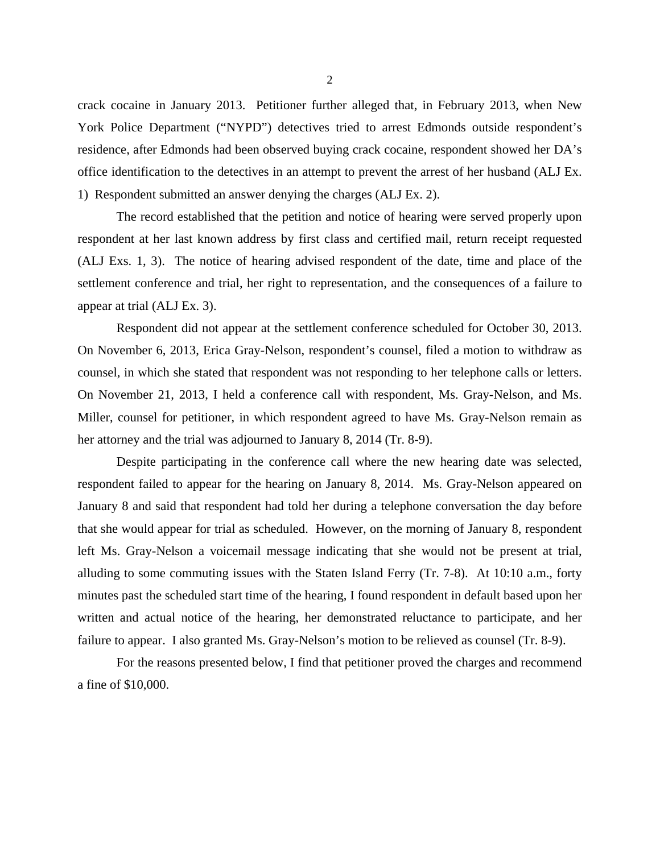crack cocaine in January 2013. Petitioner further alleged that, in February 2013, when New York Police Department ("NYPD") detectives tried to arrest Edmonds outside respondent's residence, after Edmonds had been observed buying crack cocaine, respondent showed her DA's office identification to the detectives in an attempt to prevent the arrest of her husband (ALJ Ex. 1) Respondent submitted an answer denying the charges (ALJ Ex. 2).

 The record established that the petition and notice of hearing were served properly upon respondent at her last known address by first class and certified mail, return receipt requested (ALJ Exs. 1, 3). The notice of hearing advised respondent of the date, time and place of the settlement conference and trial, her right to representation, and the consequences of a failure to appear at trial (ALJ Ex. 3).

Respondent did not appear at the settlement conference scheduled for October 30, 2013. On November 6, 2013, Erica Gray-Nelson, respondent's counsel, filed a motion to withdraw as counsel, in which she stated that respondent was not responding to her telephone calls or letters. On November 21, 2013, I held a conference call with respondent, Ms. Gray-Nelson, and Ms. Miller, counsel for petitioner, in which respondent agreed to have Ms. Gray-Nelson remain as her attorney and the trial was adjourned to January 8, 2014 (Tr. 8-9).

Despite participating in the conference call where the new hearing date was selected, respondent failed to appear for the hearing on January 8, 2014. Ms. Gray-Nelson appeared on January 8 and said that respondent had told her during a telephone conversation the day before that she would appear for trial as scheduled. However, on the morning of January 8, respondent left Ms. Gray-Nelson a voicemail message indicating that she would not be present at trial, alluding to some commuting issues with the Staten Island Ferry (Tr. 7-8). At 10:10 a.m., forty minutes past the scheduled start time of the hearing, I found respondent in default based upon her written and actual notice of the hearing, her demonstrated reluctance to participate, and her failure to appear. I also granted Ms. Gray-Nelson's motion to be relieved as counsel (Tr. 8-9).

 For the reasons presented below, I find that petitioner proved the charges and recommend a fine of \$10,000.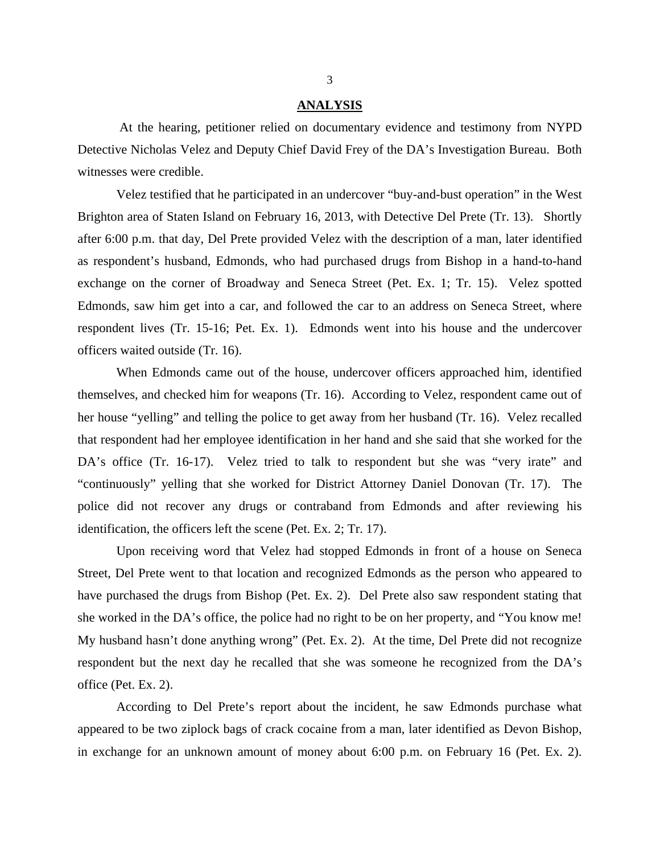#### **ANALYSIS**

 At the hearing, petitioner relied on documentary evidence and testimony from NYPD Detective Nicholas Velez and Deputy Chief David Frey of the DA's Investigation Bureau. Both witnesses were credible.

 Velez testified that he participated in an undercover "buy-and-bust operation" in the West Brighton area of Staten Island on February 16, 2013, with Detective Del Prete (Tr. 13). Shortly after 6:00 p.m. that day, Del Prete provided Velez with the description of a man, later identified as respondent's husband, Edmonds, who had purchased drugs from Bishop in a hand-to-hand exchange on the corner of Broadway and Seneca Street (Pet. Ex. 1; Tr. 15). Velez spotted Edmonds, saw him get into a car, and followed the car to an address on Seneca Street, where respondent lives (Tr. 15-16; Pet. Ex. 1). Edmonds went into his house and the undercover officers waited outside (Tr. 16).

When Edmonds came out of the house, undercover officers approached him, identified themselves, and checked him for weapons (Tr. 16). According to Velez, respondent came out of her house "yelling" and telling the police to get away from her husband (Tr. 16). Velez recalled that respondent had her employee identification in her hand and she said that she worked for the DA's office (Tr. 16-17). Velez tried to talk to respondent but she was "very irate" and "continuously" yelling that she worked for District Attorney Daniel Donovan (Tr. 17). The police did not recover any drugs or contraband from Edmonds and after reviewing his identification, the officers left the scene (Pet. Ex. 2; Tr. 17).

Upon receiving word that Velez had stopped Edmonds in front of a house on Seneca Street, Del Prete went to that location and recognized Edmonds as the person who appeared to have purchased the drugs from Bishop (Pet. Ex. 2). Del Prete also saw respondent stating that she worked in the DA's office, the police had no right to be on her property, and "You know me! My husband hasn't done anything wrong" (Pet. Ex. 2). At the time, Del Prete did not recognize respondent but the next day he recalled that she was someone he recognized from the DA's office (Pet. Ex. 2).

According to Del Prete's report about the incident, he saw Edmonds purchase what appeared to be two ziplock bags of crack cocaine from a man, later identified as Devon Bishop, in exchange for an unknown amount of money about 6:00 p.m. on February 16 (Pet. Ex. 2).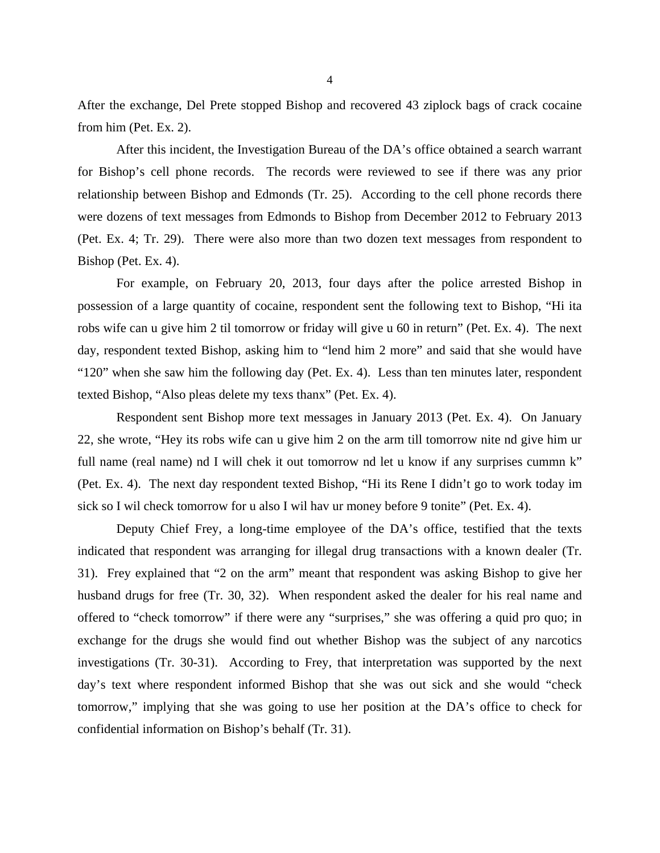After the exchange, Del Prete stopped Bishop and recovered 43 ziplock bags of crack cocaine from him (Pet. Ex. 2).

After this incident, the Investigation Bureau of the DA's office obtained a search warrant for Bishop's cell phone records. The records were reviewed to see if there was any prior relationship between Bishop and Edmonds (Tr. 25). According to the cell phone records there were dozens of text messages from Edmonds to Bishop from December 2012 to February 2013 (Pet. Ex. 4; Tr. 29). There were also more than two dozen text messages from respondent to Bishop (Pet. Ex. 4).

For example, on February 20, 2013, four days after the police arrested Bishop in possession of a large quantity of cocaine, respondent sent the following text to Bishop, "Hi ita robs wife can u give him 2 til tomorrow or friday will give u 60 in return" (Pet. Ex. 4). The next day, respondent texted Bishop, asking him to "lend him 2 more" and said that she would have "120" when she saw him the following day (Pet. Ex. 4). Less than ten minutes later, respondent texted Bishop, "Also pleas delete my texs thanx" (Pet. Ex. 4).

Respondent sent Bishop more text messages in January 2013 (Pet. Ex. 4). On January 22, she wrote, "Hey its robs wife can u give him 2 on the arm till tomorrow nite nd give him ur full name (real name) nd I will chek it out tomorrow nd let u know if any surprises cummn k" (Pet. Ex. 4). The next day respondent texted Bishop, "Hi its Rene I didn't go to work today im sick so I wil check tomorrow for u also I wil hav ur money before 9 tonite" (Pet. Ex. 4).

Deputy Chief Frey, a long-time employee of the DA's office, testified that the texts indicated that respondent was arranging for illegal drug transactions with a known dealer (Tr. 31). Frey explained that "2 on the arm" meant that respondent was asking Bishop to give her husband drugs for free (Tr. 30, 32). When respondent asked the dealer for his real name and offered to "check tomorrow" if there were any "surprises," she was offering a quid pro quo; in exchange for the drugs she would find out whether Bishop was the subject of any narcotics investigations (Tr. 30-31). According to Frey, that interpretation was supported by the next day's text where respondent informed Bishop that she was out sick and she would "check tomorrow," implying that she was going to use her position at the DA's office to check for confidential information on Bishop's behalf (Tr. 31).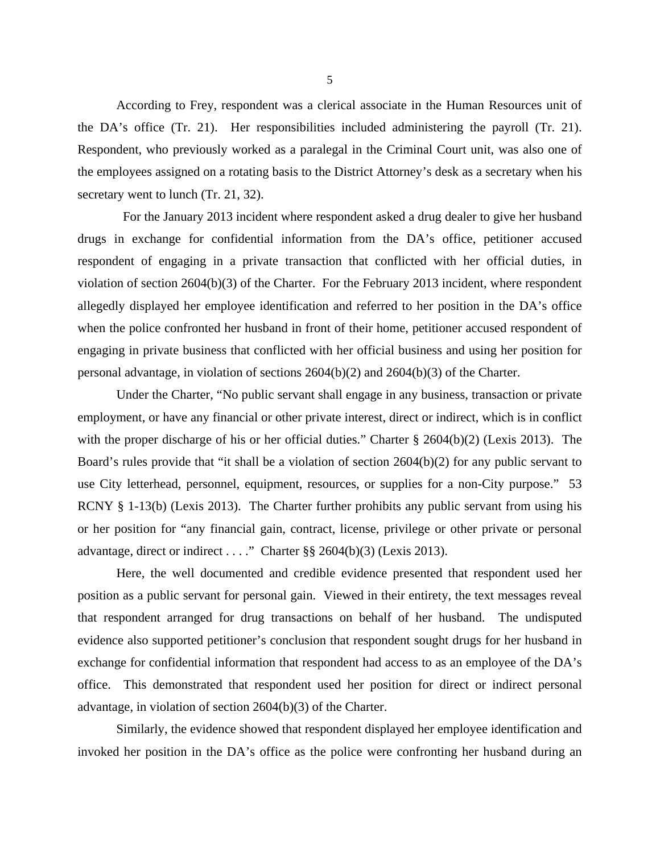According to Frey, respondent was a clerical associate in the Human Resources unit of the DA's office (Tr. 21). Her responsibilities included administering the payroll (Tr. 21). Respondent, who previously worked as a paralegal in the Criminal Court unit, was also one of the employees assigned on a rotating basis to the District Attorney's desk as a secretary when his secretary went to lunch (Tr. 21, 32).

 For the January 2013 incident where respondent asked a drug dealer to give her husband drugs in exchange for confidential information from the DA's office, petitioner accused respondent of engaging in a private transaction that conflicted with her official duties, in violation of section 2604(b)(3) of the Charter. For the February 2013 incident, where respondent allegedly displayed her employee identification and referred to her position in the DA's office when the police confronted her husband in front of their home, petitioner accused respondent of engaging in private business that conflicted with her official business and using her position for personal advantage, in violation of sections 2604(b)(2) and 2604(b)(3) of the Charter.

Under the Charter, "No public servant shall engage in any business, transaction or private employment, or have any financial or other private interest, direct or indirect, which is in conflict with the proper discharge of his or her official duties." Charter § 2604(b)(2) (Lexis 2013). The Board's rules provide that "it shall be a violation of section 2604(b)(2) for any public servant to use City letterhead, personnel, equipment, resources, or supplies for a non-City purpose." 53 RCNY § 1-13(b) (Lexis 2013). The Charter further prohibits any public servant from using his or her position for "any financial gain, contract, license, privilege or other private or personal advantage, direct or indirect . . . ." Charter  $\S\S 2604(b)(3)$  (Lexis 2013).

Here, the well documented and credible evidence presented that respondent used her position as a public servant for personal gain. Viewed in their entirety, the text messages reveal that respondent arranged for drug transactions on behalf of her husband. The undisputed evidence also supported petitioner's conclusion that respondent sought drugs for her husband in exchange for confidential information that respondent had access to as an employee of the DA's office. This demonstrated that respondent used her position for direct or indirect personal advantage, in violation of section 2604(b)(3) of the Charter.

Similarly, the evidence showed that respondent displayed her employee identification and invoked her position in the DA's office as the police were confronting her husband during an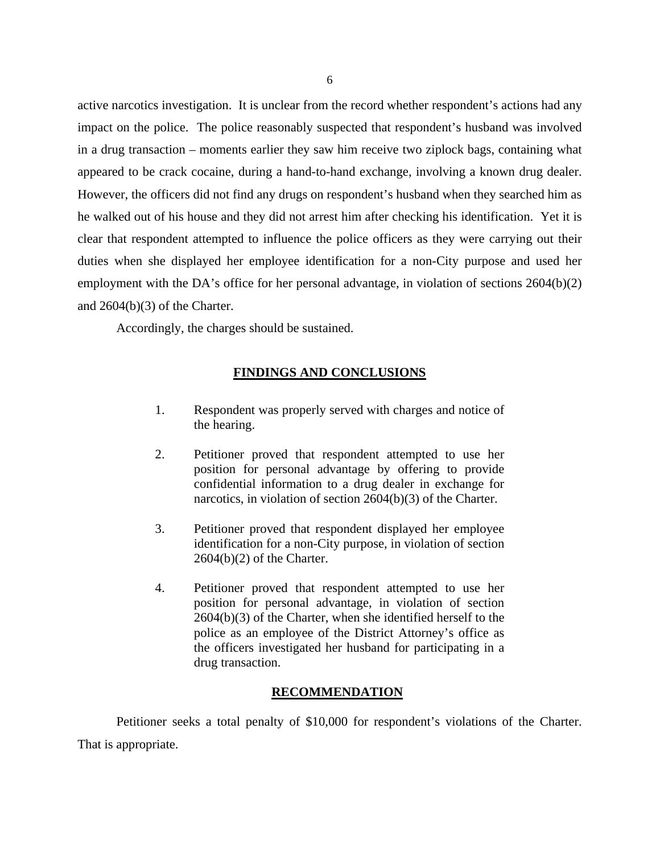active narcotics investigation. It is unclear from the record whether respondent's actions had any impact on the police. The police reasonably suspected that respondent's husband was involved in a drug transaction – moments earlier they saw him receive two ziplock bags, containing what appeared to be crack cocaine, during a hand-to-hand exchange, involving a known drug dealer. However, the officers did not find any drugs on respondent's husband when they searched him as he walked out of his house and they did not arrest him after checking his identification. Yet it is clear that respondent attempted to influence the police officers as they were carrying out their duties when she displayed her employee identification for a non-City purpose and used her employment with the DA's office for her personal advantage, in violation of sections 2604(b)(2) and 2604(b)(3) of the Charter.

Accordingly, the charges should be sustained.

# **FINDINGS AND CONCLUSIONS**

- 1. Respondent was properly served with charges and notice of the hearing.
- 2. Petitioner proved that respondent attempted to use her position for personal advantage by offering to provide confidential information to a drug dealer in exchange for narcotics, in violation of section 2604(b)(3) of the Charter.
- 3. Petitioner proved that respondent displayed her employee identification for a non-City purpose, in violation of section  $2604(b)(2)$  of the Charter.
- 4. Petitioner proved that respondent attempted to use her position for personal advantage, in violation of section 2604(b)(3) of the Charter, when she identified herself to the police as an employee of the District Attorney's office as the officers investigated her husband for participating in a drug transaction.

### **RECOMMENDATION**

 Petitioner seeks a total penalty of \$10,000 for respondent's violations of the Charter. That is appropriate.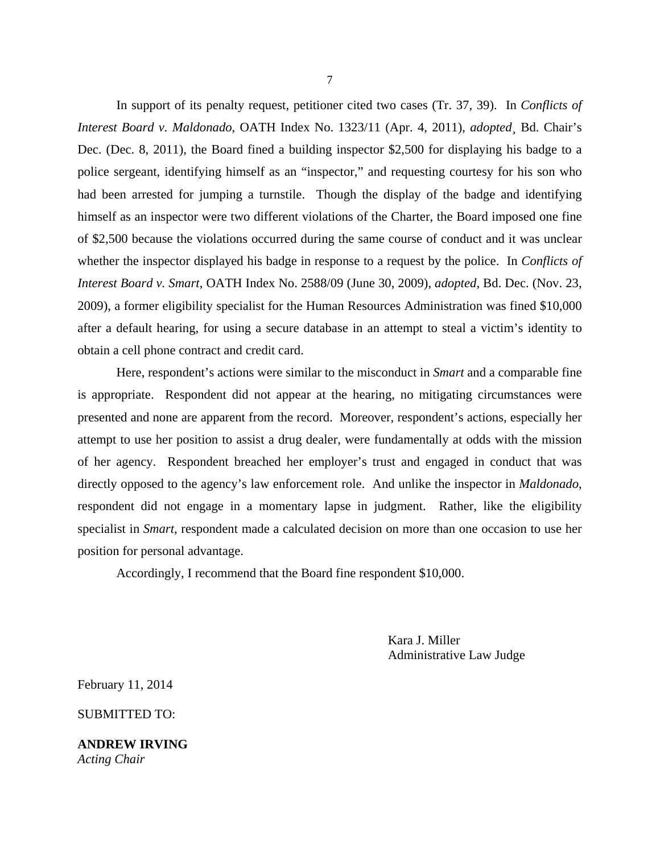In support of its penalty request, petitioner cited two cases (Tr. 37, 39). In *Conflicts of Interest Board v. Maldonado*, OATH Index No. 1323/11 (Apr. 4, 2011), *adopted*¸ Bd. Chair's Dec. (Dec. 8, 2011), the Board fined a building inspector \$2,500 for displaying his badge to a police sergeant, identifying himself as an "inspector," and requesting courtesy for his son who had been arrested for jumping a turnstile. Though the display of the badge and identifying himself as an inspector were two different violations of the Charter, the Board imposed one fine of \$2,500 because the violations occurred during the same course of conduct and it was unclear whether the inspector displayed his badge in response to a request by the police. In *Conflicts of Interest Board v. Smart*, OATH Index No. 2588/09 (June 30, 2009), *adopted*, Bd. Dec. (Nov. 23, 2009), a former eligibility specialist for the Human Resources Administration was fined \$10,000 after a default hearing, for using a secure database in an attempt to steal a victim's identity to obtain a cell phone contract and credit card.

Here, respondent's actions were similar to the misconduct in *Smart* and a comparable fine is appropriate. Respondent did not appear at the hearing, no mitigating circumstances were presented and none are apparent from the record. Moreover, respondent's actions, especially her attempt to use her position to assist a drug dealer, were fundamentally at odds with the mission of her agency. Respondent breached her employer's trust and engaged in conduct that was directly opposed to the agency's law enforcement role. And unlike the inspector in *Maldonado*, respondent did not engage in a momentary lapse in judgment. Rather, like the eligibility specialist in *Smart*, respondent made a calculated decision on more than one occasion to use her position for personal advantage.

Accordingly, I recommend that the Board fine respondent \$10,000.

 Kara J. Miller Administrative Law Judge

February 11, 2014

SUBMITTED TO:

**ANDREW IRVING**  *Acting Chair*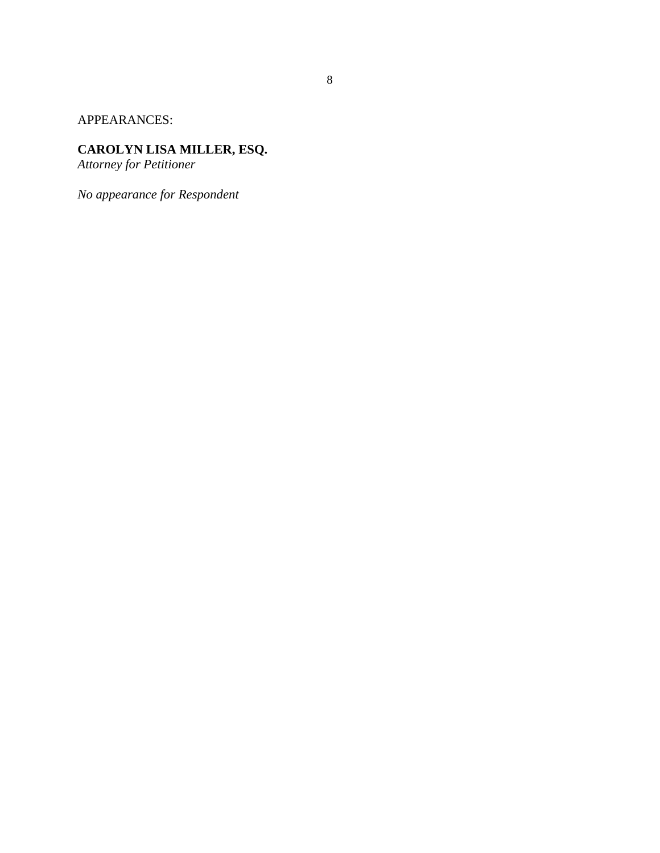APPEARANCES:

## **CAROLYN LISA MILLER, ESQ.**

*Attorney for Petitioner*

*No appearance for Respondent*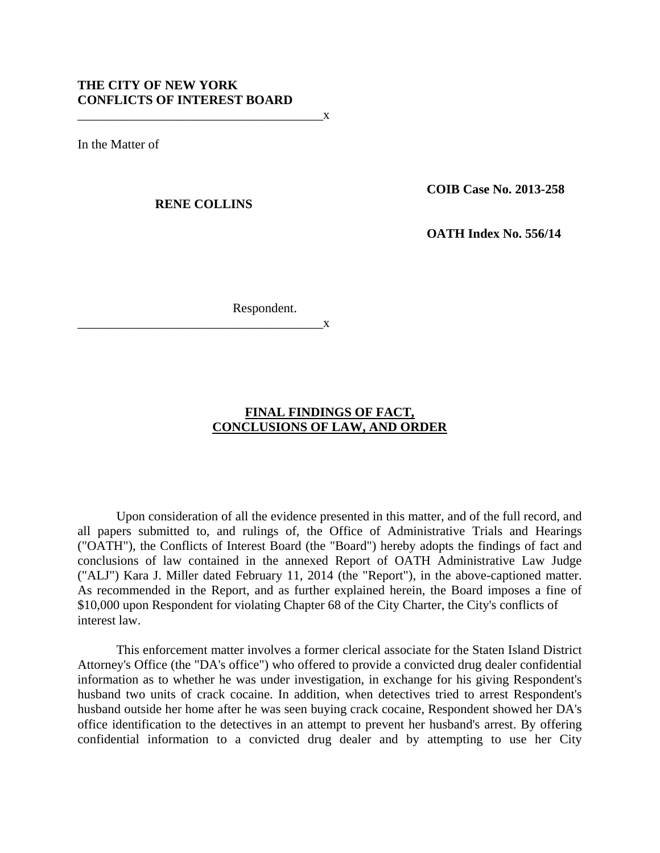In the Matter of

**RENE COLLINS** 

 $\mathbf{X}$ 

**COIB Case No. 2013-258** 

 **OATH Index No. 556/14** 

Respondent.

#### $\mathbf{X}$

# **FINAL FINDINGS OF FACT, CONCLUSIONS OF LAW, AND ORDER**

Upon consideration of all the evidence presented in this matter, and of the full record, and all papers submitted to, and rulings of, the Office of Administrative Trials and Hearings ("OATH"), the Conflicts of Interest Board (the "Board") hereby adopts the findings of fact and conclusions of law contained in the annexed Report of OATH Administrative Law Judge ("ALJ") Kara J. Miller dated February 11, 2014 (the "Report"), in the above-captioned matter. As recommended in the Report, and as further explained herein, the Board imposes a fine of \$10,000 upon Respondent for violating Chapter 68 of the City Charter, the City's conflicts of interest law.

This enforcement matter involves a former clerical associate for the Staten Island District Attorney's Office (the "DA's office") who offered to provide a convicted drug dealer confidential information as to whether he was under investigation, in exchange for his giving Respondent's husband two units of crack cocaine. In addition, when detectives tried to arrest Respondent's husband outside her home after he was seen buying crack cocaine, Respondent showed her DA's office identification to the detectives in an attempt to prevent her husband's arrest. By offering confidential information to a convicted drug dealer and by attempting to use her City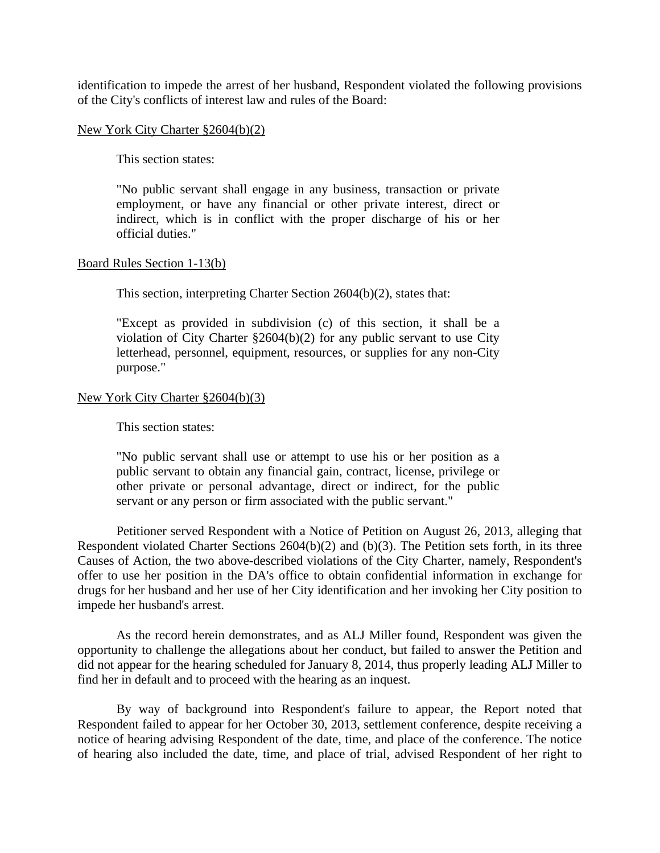identification to impede the arrest of her husband, Respondent violated the following provisions of the City's conflicts of interest law and rules of the Board:

#### New York City Charter §2604(b)(2)

This section states:

"No public servant shall engage in any business, transaction or private employment, or have any financial or other private interest, direct or indirect, which is in conflict with the proper discharge of his or her official duties."

#### Board Rules Section 1-13(b)

This section, interpreting Charter Section 2604(b)(2), states that:

"Except as provided in subdivision (c) of this section, it shall be a violation of City Charter §2604(b)(2) for any public servant to use City letterhead, personnel, equipment, resources, or supplies for any non-City purpose."

#### New York City Charter §2604(b)(3)

This section states:

"No public servant shall use or attempt to use his or her position as a public servant to obtain any financial gain, contract, license, privilege or other private or personal advantage, direct or indirect, for the public servant or any person or firm associated with the public servant."

Petitioner served Respondent with a Notice of Petition on August 26, 2013, alleging that Respondent violated Charter Sections 2604(b)(2) and (b)(3). The Petition sets forth, in its three Causes of Action, the two above-described violations of the City Charter, namely, Respondent's offer to use her position in the DA's office to obtain confidential information in exchange for drugs for her husband and her use of her City identification and her invoking her City position to impede her husband's arrest.

As the record herein demonstrates, and as ALJ Miller found, Respondent was given the opportunity to challenge the allegations about her conduct, but failed to answer the Petition and did not appear for the hearing scheduled for January 8, 2014, thus properly leading ALJ Miller to find her in default and to proceed with the hearing as an inquest.

By way of background into Respondent's failure to appear, the Report noted that Respondent failed to appear for her October 30, 2013, settlement conference, despite receiving a notice of hearing advising Respondent of the date, time, and place of the conference. The notice of hearing also included the date, time, and place of trial, advised Respondent of her right to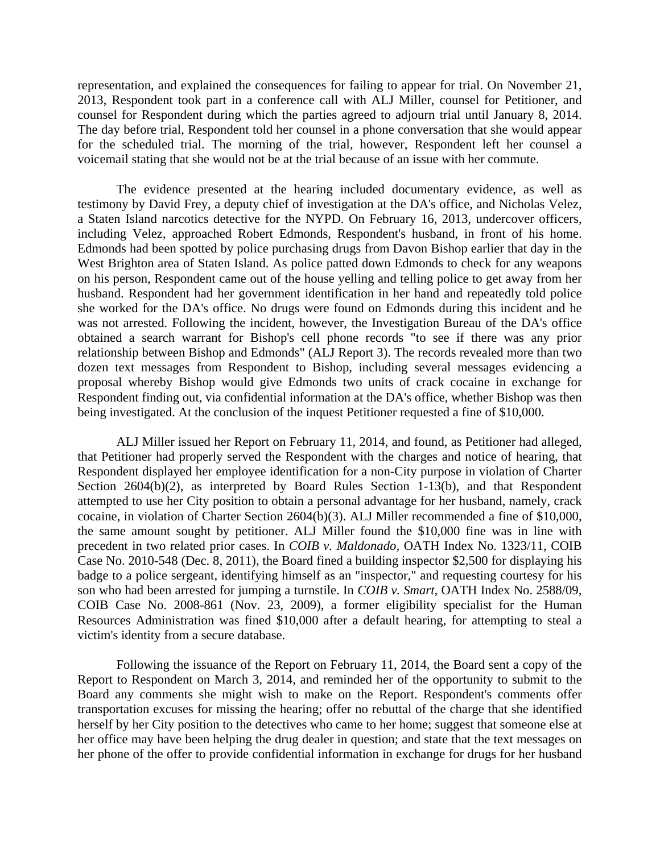representation, and explained the consequences for failing to appear for trial. On November 21, 2013, Respondent took part in a conference call with ALJ Miller, counsel for Petitioner, and counsel for Respondent during which the parties agreed to adjourn trial until January 8, 2014. The day before trial, Respondent told her counsel in a phone conversation that she would appear for the scheduled trial. The morning of the trial, however, Respondent left her counsel a voicemail stating that she would not be at the trial because of an issue with her commute.

The evidence presented at the hearing included documentary evidence, as well as testimony by David Frey, a deputy chief of investigation at the DA's office, and Nicholas Velez, a Staten Island narcotics detective for the NYPD. On February 16, 2013, undercover officers, including Velez, approached Robert Edmonds, Respondent's husband, in front of his home. Edmonds had been spotted by police purchasing drugs from Davon Bishop earlier that day in the West Brighton area of Staten Island. As police patted down Edmonds to check for any weapons on his person, Respondent came out of the house yelling and telling police to get away from her husband. Respondent had her government identification in her hand and repeatedly told police she worked for the DA's office. No drugs were found on Edmonds during this incident and he was not arrested. Following the incident, however, the Investigation Bureau of the DA's office obtained a search warrant for Bishop's cell phone records "to see if there was any prior relationship between Bishop and Edmonds" (ALJ Report 3). The records revealed more than two dozen text messages from Respondent to Bishop, including several messages evidencing a proposal whereby Bishop would give Edmonds two units of crack cocaine in exchange for Respondent finding out, via confidential information at the DA's office, whether Bishop was then being investigated. At the conclusion of the inquest Petitioner requested a fine of \$10,000.

ALJ Miller issued her Report on February 11, 2014, and found, as Petitioner had alleged, that Petitioner had properly served the Respondent with the charges and notice of hearing, that Respondent displayed her employee identification for a non-City purpose in violation of Charter Section  $2604(b)(2)$ , as interpreted by Board Rules Section 1-13(b), and that Respondent attempted to use her City position to obtain a personal advantage for her husband, namely, crack cocaine, in violation of Charter Section 2604(b)(3). ALJ Miller recommended a fine of \$10,000, the same amount sought by petitioner. ALJ Miller found the \$10,000 fine was in line with precedent in two related prior cases. In *COIB v. Maldonado,* OATH Index No. 1323/11, COIB Case No. 2010-548 (Dec. 8, 2011), the Board fined a building inspector \$2,500 for displaying his badge to a police sergeant, identifying himself as an "inspector," and requesting courtesy for his son who had been arrested for jumping a turnstile. In *COIB v. Smart,* OATH Index No. 2588/09*,*  COIB Case No. 2008-861 (Nov. 23, 2009), a former eligibility specialist for the Human Resources Administration was fined \$10,000 after a default hearing, for attempting to steal a victim's identity from a secure database.

Following the issuance of the Report on February 11, 2014, the Board sent a copy of the Report to Respondent on March 3, 2014, and reminded her of the opportunity to submit to the Board any comments she might wish to make on the Report. Respondent's comments offer transportation excuses for missing the hearing; offer no rebuttal of the charge that she identified herself by her City position to the detectives who came to her home; suggest that someone else at her office may have been helping the drug dealer in question; and state that the text messages on her phone of the offer to provide confidential information in exchange for drugs for her husband